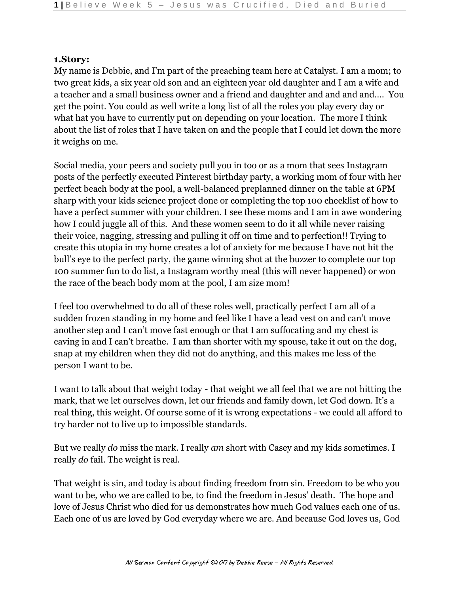#### **1.Story:**

My name is Debbie, and I'm part of the preaching team here at Catalyst. I am a mom; to two great kids, a six year old son and an eighteen year old daughter and I am a wife and a teacher and a small business owner and a friend and daughter and and and and…. You get the point. You could as well write a long list of all the roles you play every day or what hat you have to currently put on depending on your location. The more I think about the list of roles that I have taken on and the people that I could let down the more it weighs on me.

Social media, your peers and society pull you in too or as a mom that sees Instagram posts of the perfectly executed Pinterest birthday party, a working mom of four with her perfect beach body at the pool, a well-balanced preplanned dinner on the table at 6PM sharp with your kids science project done or completing the top 100 checklist of how to have a perfect summer with your children. I see these moms and I am in awe wondering how I could juggle all of this. And these women seem to do it all while never raising their voice, nagging, stressing and pulling it off on time and to perfection!! Trying to create this utopia in my home creates a lot of anxiety for me because I have not hit the bull's eye to the perfect party, the game winning shot at the buzzer to complete our top 100 summer fun to do list, a Instagram worthy meal (this will never happened) or won the race of the beach body mom at the pool, I am size mom!

I feel too overwhelmed to do all of these roles well, practically perfect I am all of a sudden frozen standing in my home and feel like I have a lead vest on and can't move another step and I can't move fast enough or that I am suffocating and my chest is caving in and I can't breathe. I am than shorter with my spouse, take it out on the dog, snap at my children when they did not do anything, and this makes me less of the person I want to be.

I want to talk about that weight today - that weight we all feel that we are not hitting the mark, that we let ourselves down, let our friends and family down, let God down. It's a real thing, this weight. Of course some of it is wrong expectations - we could all afford to try harder not to live up to impossible standards.

But we really *do* miss the mark. I really *am* short with Casey and my kids sometimes. I really *do* fail. The weight is real.

That weight is sin, and today is about finding freedom from sin. Freedom to be who you want to be, who we are called to be, to find the freedom in Jesus' death. The hope and love of Jesus Christ who died for us demonstrates how much God values each one of us. Each one of us are loved by God everyday where we are. And because God loves us, God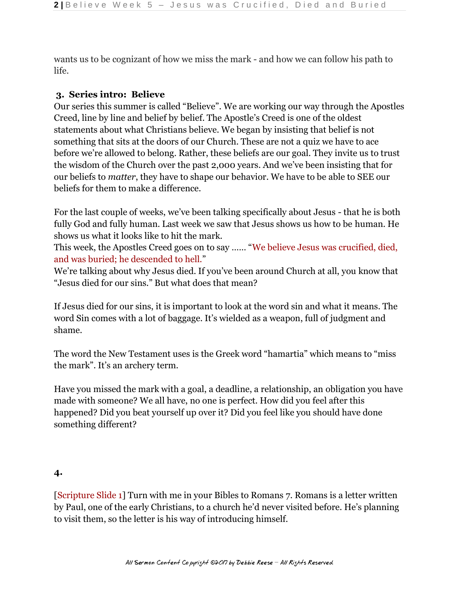wants us to be cognizant of how we miss the mark - and how we can follow his path to life.

### **3. Series intro: Believe**

Our series this summer is called "Believe". We are working our way through the Apostles Creed, line by line and belief by belief. The Apostle's Creed is one of the oldest statements about what Christians believe. We began by insisting that belief is not something that sits at the doors of our Church. These are not a quiz we have to ace before we're allowed to belong. Rather, these beliefs are our goal. They invite us to trust the wisdom of the Church over the past 2,000 years. And we've been insisting that for our beliefs to *matter*, they have to shape our behavior. We have to be able to SEE our beliefs for them to make a difference.

For the last couple of weeks, we've been talking specifically about Jesus - that he is both fully God and fully human. Last week we saw that Jesus shows us how to be human. He shows us what it looks like to hit the mark.

This week, the Apostles Creed goes on to say …… "We believe Jesus was crucified, died, and was buried; he descended to hell."

We're talking about why Jesus died. If you've been around Church at all, you know that "Jesus died for our sins." But what does that mean?

If Jesus died for our sins, it is important to look at the word sin and what it means. The word Sin comes with a lot of baggage. It's wielded as a weapon, full of judgment and shame.

The word the New Testament uses is the Greek word "hamartia" which means to "miss the mark". It's an archery term.

Have you missed the mark with a goal, a deadline, a relationship, an obligation you have made with someone? We all have, no one is perfect. How did you feel after this happened? Did you beat yourself up over it? Did you feel like you should have done something different?

### **4.**

[Scripture Slide 1] Turn with me in your Bibles to Romans 7. Romans is a letter written by Paul, one of the early Christians, to a church he'd never visited before. He's planning to visit them, so the letter is his way of introducing himself.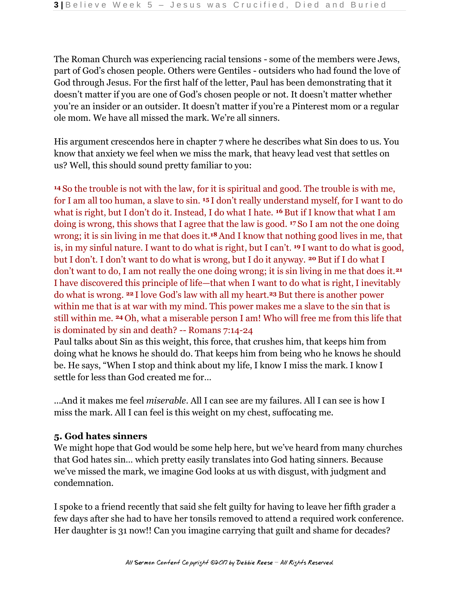The Roman Church was experiencing racial tensions - some of the members were Jews, part of God's chosen people. Others were Gentiles - outsiders who had found the love of God through Jesus. For the first half of the letter, Paul has been demonstrating that it doesn't matter if you are one of God's chosen people or not. It doesn't matter whether you're an insider or an outsider. It doesn't matter if you're a Pinterest mom or a regular ole mom. We have all missed the mark. We're all sinners.

His argument crescendos here in chapter 7 where he describes what Sin does to us. You know that anxiety we feel when we miss the mark, that heavy lead vest that settles on us? Well, this should sound pretty familiar to you:

**<sup>14</sup>**So the trouble is not with the law, for it is spiritual and good. The trouble is with me, for I am all too human, a slave to sin. **15** I don't really understand myself, for I want to do what is right, but I don't do it. Instead, I do what I hate. **16** But if I know that what I am doing is wrong, this shows that I agree that the law is good. **17** So I am not the one doing wrong; it is sin living in me that does it.**18** And I know that nothing good lives in me, that is, in my sinful nature. I want to do what is right, but I can't. **19** I want to do what is good, but I don't. I don't want to do what is wrong, but I do it anyway. **20** But if I do what I don't want to do, I am not really the one doing wrong; it is sin living in me that does it.**<sup>21</sup>** I have discovered this principle of life—that when I want to do what is right, I inevitably do what is wrong. **22** I love God's law with all my heart.**23** But there is another power within me that is at war with my mind. This power makes me a slave to the sin that is still within me. **24** Oh, what a miserable person I am! Who will free me from this life that is dominated by sin and death? -- Romans 7:14-24

Paul talks about Sin as this weight, this force, that crushes him, that keeps him from doing what he knows he should do. That keeps him from being who he knows he should be. He says, "When I stop and think about my life, I know I miss the mark. I know I settle for less than God created me for…

...And it makes me feel *miserable*. All I can see are my failures. All I can see is how I miss the mark. All I can feel is this weight on my chest, suffocating me.

## **5. God hates sinners**

We might hope that God would be some help here, but we've heard from many churches that God hates sin… which pretty easily translates into God hating sinners. Because we've missed the mark, we imagine God looks at us with disgust, with judgment and condemnation.

I spoke to a friend recently that said she felt guilty for having to leave her fifth grader a few days after she had to have her tonsils removed to attend a required work conference. Her daughter is 31 now!! Can you imagine carrying that guilt and shame for decades?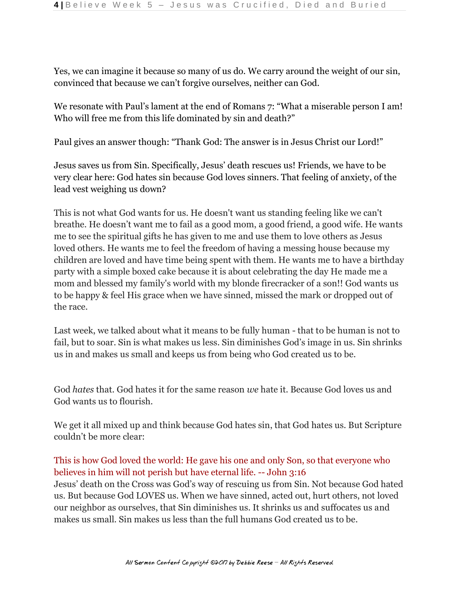Yes, we can imagine it because so many of us do. We carry around the weight of our sin, convinced that because we can't forgive ourselves, neither can God.

We resonate with Paul's lament at the end of Romans 7: "What a miserable person I am! Who will free me from this life dominated by sin and death?"

Paul gives an answer though: "Thank God: The answer is in Jesus Christ our Lord!"

Jesus saves us from Sin. Specifically, Jesus' death rescues us! Friends, we have to be very clear here: God hates sin because God loves sinners. That feeling of anxiety, of the lead vest weighing us down?

This is not what God wants for us. He doesn't want us standing feeling like we can't breathe. He doesn't want me to fail as a good mom, a good friend, a good wife. He wants me to see the spiritual gifts he has given to me and use them to love others as Jesus loved others. He wants me to feel the freedom of having a messing house because my children are loved and have time being spent with them. He wants me to have a birthday party with a simple boxed cake because it is about celebrating the day He made me a mom and blessed my family's world with my blonde firecracker of a son!! God wants us to be happy & feel His grace when we have sinned, missed the mark or dropped out of the race.

Last week, we talked about what it means to be fully human - that to be human is not to fail, but to soar. Sin is what makes us less. Sin diminishes God's image in us. Sin shrinks us in and makes us small and keeps us from being who God created us to be.

God *hates* that. God hates it for the same reason *we* hate it. Because God loves us and God wants us to flourish.

We get it all mixed up and think because God hates sin, that God hates us. But Scripture couldn't be more clear:

# This is how God loved the world: He gave his one and only Son, so that everyone who believes in him will not perish but have eternal life. -- John 3:16

Jesus' death on the Cross was God's way of rescuing us from Sin. Not because God hated us. But because God LOVES us. When we have sinned, acted out, hurt others, not loved our neighbor as ourselves, that Sin diminishes us. It shrinks us and suffocates us and makes us small. Sin makes us less than the full humans God created us to be.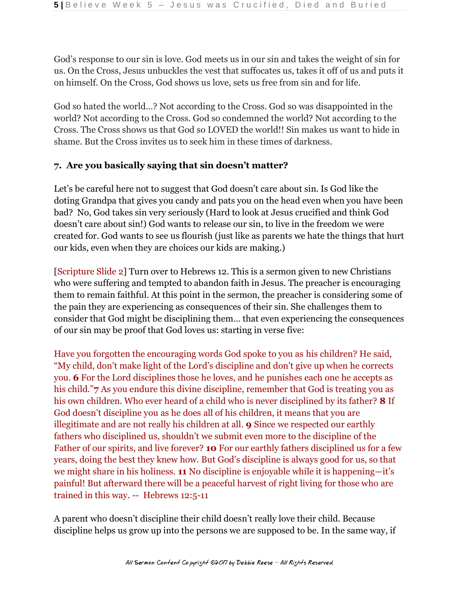God's response to our sin is love. God meets us in our sin and takes the weight of sin for us. On the Cross, Jesus unbuckles the vest that suffocates us, takes it off of us and puts it on himself. On the Cross, God shows us love, sets us free from sin and for life.

God so hated the world…? Not according to the Cross. God so was disappointed in the world? Not according to the Cross. God so condemned the world? Not according to the Cross. The Cross shows us that God so LOVED the world!! Sin makes us want to hide in shame. But the Cross invites us to seek him in these times of darkness.

## **7. Are you basically saying that sin doesn't matter?**

Let's be careful here not to suggest that God doesn't care about sin. Is God like the doting Grandpa that gives you candy and pats you on the head even when you have been bad? No, God takes sin very seriously (Hard to look at Jesus crucified and think God doesn't care about sin!) God wants to release our sin, to live in the freedom we were created for. God wants to see us flourish (just like as parents we hate the things that hurt our kids, even when they are choices our kids are making.)

[Scripture Slide 2] Turn over to Hebrews 12. This is a sermon given to new Christians who were suffering and tempted to abandon faith in Jesus. The preacher is encouraging them to remain faithful. At this point in the sermon, the preacher is considering some of the pain they are experiencing as consequences of their sin. She challenges them to consider that God might be disciplining them… that even experiencing the consequences of our sin may be proof that God loves us: starting in verse five:

Have you forgotten the encouraging words God spoke to you as his children? He said, "My child, don't make light of the Lord's discipline and don't give up when he corrects you. **6** For the Lord disciplines those he loves, and he punishes each one he accepts as his child."**7** As you endure this divine discipline, remember that God is treating you as his own children. Who ever heard of a child who is never disciplined by its father? **8** If God doesn't discipline you as he does all of his children, it means that you are illegitimate and are not really his children at all. **9** Since we respected our earthly fathers who disciplined us, shouldn't we submit even more to the discipline of the Father of our spirits, and live forever? **10** For our earthly fathers disciplined us for a few years, doing the best they knew how. But God's discipline is always good for us, so that we might share in his holiness. **11** No discipline is enjoyable while it is happening—it's painful! But afterward there will be a peaceful harvest of right living for those who are trained in this way. -- Hebrews 12:5-11

A parent who doesn't discipline their child doesn't really love their child. Because discipline helps us grow up into the persons we are supposed to be. In the same way, if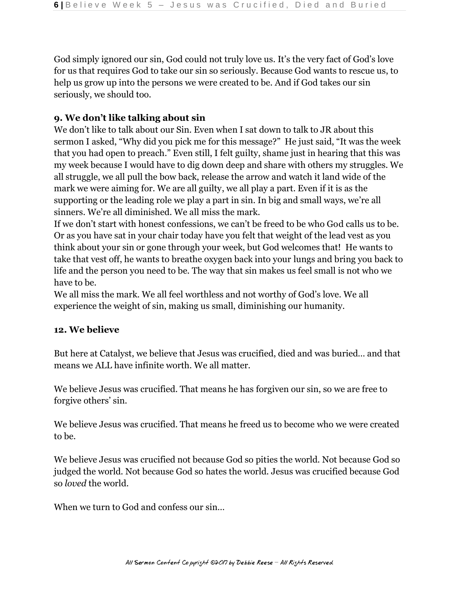God simply ignored our sin, God could not truly love us. It's the very fact of God's love for us that requires God to take our sin so seriously. Because God wants to rescue us, to help us grow up into the persons we were created to be. And if God takes our sin seriously, we should too.

### **9. We don't like talking about sin**

We don't like to talk about our Sin. Even when I sat down to talk to JR about this sermon I asked, "Why did you pick me for this message?" He just said, "It was the week that you had open to preach." Even still, I felt guilty, shame just in hearing that this was my week because I would have to dig down deep and share with others my struggles. We all struggle, we all pull the bow back, release the arrow and watch it land wide of the mark we were aiming for. We are all guilty, we all play a part. Even if it is as the supporting or the leading role we play a part in sin. In big and small ways, we're all sinners. We're all diminished. We all miss the mark.

If we don't start with honest confessions, we can't be freed to be who God calls us to be. Or as you have sat in your chair today have you felt that weight of the lead vest as you think about your sin or gone through your week, but God welcomes that! He wants to take that vest off, he wants to breathe oxygen back into your lungs and bring you back to life and the person you need to be. The way that sin makes us feel small is not who we have to be.

We all miss the mark. We all feel worthless and not worthy of God's love. We all experience the weight of sin, making us small, diminishing our humanity.

### **12. We believe**

But here at Catalyst, we believe that Jesus was crucified, died and was buried… and that means we ALL have infinite worth. We all matter.

We believe Jesus was crucified. That means he has forgiven our sin, so we are free to forgive others' sin.

We believe Jesus was crucified. That means he freed us to become who we were created to be.

We believe Jesus was crucified not because God so pities the world. Not because God so judged the world. Not because God so hates the world. Jesus was crucified because God so *loved* the world.

When we turn to God and confess our sin...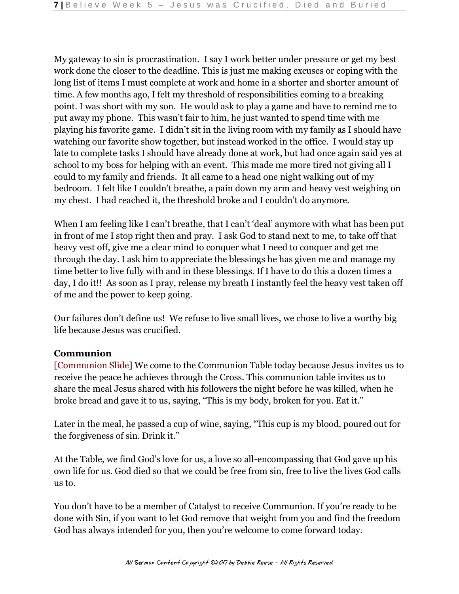My gateway to sin is procrastination. I say I work better under pressure or get my best work done the closer to the deadline. This is just me making excuses or coping with the long list of items I must complete at work and home in a shorter and shorter amount of time. A few months ago, I felt my threshold of responsibilities coming to a breaking point. I was short with my son. He would ask to play a game and have to remind me to put away my phone. This wasn't fair to him, he just wanted to spend time with me playing his favorite game. I didn't sit in the living room with my family as I should have watching our favorite show together, but instead worked in the office. I would stay up late to complete tasks I should have already done at work, but had once again said yes at school to my boss for helping with an event. This made me more tired not giving all I could to my family and friends. It all came to a head one night walking out of my bedroom. I felt like I couldn't breathe, a pain down my arm and heavy vest weighing on my chest. I had reached it, the threshold broke and I couldn't do anymore.

When I am feeling like I can't breathe, that I can't 'deal' anymore with what has been put in front of me I stop right then and pray. I ask God to stand next to me, to take off that heavy vest off, give me a clear mind to conquer what I need to conquer and get me through the day. I ask him to appreciate the blessings he has given me and manage my time better to live fully with and in these blessings. If I have to do this a dozen times a day, I do it!! As soon as I pray, release my breath I instantly feel the heavy vest taken off of me and the power to keep going.

Our failures don't define us! We refuse to live small lives, we chose to live a worthy big life because Jesus was crucified.

## **Communion**

[Communion Slide] We come to the Communion Table today because Jesus invites us to receive the peace he achieves through the Cross. This communion table invites us to share the meal Jesus shared with his followers the night before he was killed, when he broke bread and gave it to us, saying, "This is my body, broken for you. Eat it."

Later in the meal, he passed a cup of wine, saying, "This cup is my blood, poured out for the forgiveness of sin. Drink it."

At the Table, we find God's love for us, a love so all-encompassing that God gave up his own life for us. God died so that we could be free from sin, free to live the lives God calls us to.

You don't have to be a member of Catalyst to receive Communion. If you're ready to be done with Sin, if you want to let God remove that weight from you and find the freedom God has always intended for you, then you're welcome to come forward today.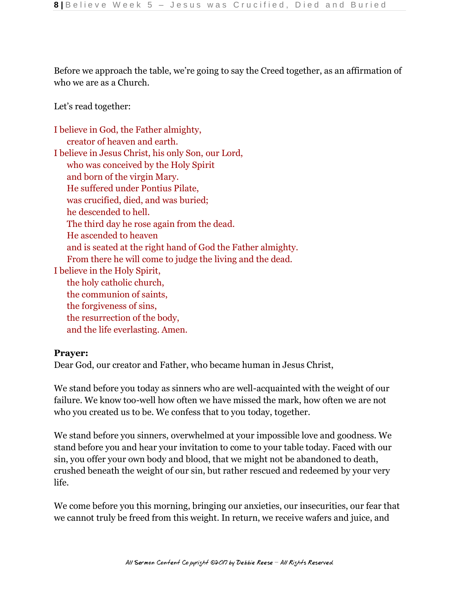Before we approach the table, we're going to say the Creed together, as an affirmation of who we are as a Church.

Let's read together:

| I believe in God, the Father almighty,                      |
|-------------------------------------------------------------|
| creator of heaven and earth.                                |
| I believe in Jesus Christ, his only Son, our Lord,          |
| who was conceived by the Holy Spirit                        |
| and born of the virgin Mary.                                |
| He suffered under Pontius Pilate,                           |
| was crucified, died, and was buried;                        |
| he descended to hell.                                       |
| The third day he rose again from the dead.                  |
| He ascended to heaven                                       |
| and is seated at the right hand of God the Father almighty. |
| From there he will come to judge the living and the dead.   |
| I believe in the Holy Spirit,                               |
| the holy catholic church,                                   |
| the communion of saints,                                    |
| the forgiveness of sins,                                    |
| the resurrection of the body,                               |
| and the life everlasting. Amen.                             |
|                                                             |

### **Prayer:**

Dear God, our creator and Father, who became human in Jesus Christ,

We stand before you today as sinners who are well-acquainted with the weight of our failure. We know too-well how often we have missed the mark, how often we are not who you created us to be. We confess that to you today, together.

We stand before you sinners, overwhelmed at your impossible love and goodness. We stand before you and hear your invitation to come to your table today. Faced with our sin, you offer your own body and blood, that we might not be abandoned to death, crushed beneath the weight of our sin, but rather rescued and redeemed by your very life.

We come before you this morning, bringing our anxieties, our insecurities, our fear that we cannot truly be freed from this weight. In return, we receive wafers and juice, and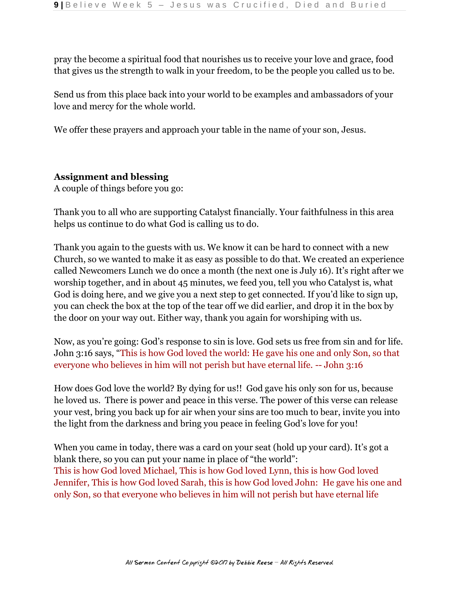pray the become a spiritual food that nourishes us to receive your love and grace, food that gives us the strength to walk in your freedom, to be the people you called us to be.

Send us from this place back into your world to be examples and ambassadors of your love and mercy for the whole world.

We offer these prayers and approach your table in the name of your son, Jesus.

## **Assignment and blessing**

A couple of things before you go:

Thank you to all who are supporting Catalyst financially. Your faithfulness in this area helps us continue to do what God is calling us to do.

Thank you again to the guests with us. We know it can be hard to connect with a new Church, so we wanted to make it as easy as possible to do that. We created an experience called Newcomers Lunch we do once a month (the next one is July 16). It's right after we worship together, and in about 45 minutes, we feed you, tell you who Catalyst is, what God is doing here, and we give you a next step to get connected. If you'd like to sign up, you can check the box at the top of the tear off we did earlier, and drop it in the box by the door on your way out. Either way, thank you again for worshiping with us.

Now, as you're going: God's response to sin is love. God sets us free from sin and for life. John 3:16 says, "This is how God loved the world: He gave his one and only Son, so that everyone who believes in him will not perish but have eternal life. -- John 3:16

How does God love the world? By dying for us!! God gave his only son for us, because he loved us. There is power and peace in this verse. The power of this verse can release your vest, bring you back up for air when your sins are too much to bear, invite you into the light from the darkness and bring you peace in feeling God's love for you!

When you came in today, there was a card on your seat (hold up your card). It's got a blank there, so you can put your name in place of "the world": This is how God loved Michael, This is how God loved Lynn, this is how God loved Jennifer, This is how God loved Sarah, this is how God loved John: He gave his one and only Son, so that everyone who believes in him will not perish but have eternal life